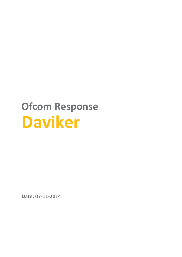# **Ofcom Response Daviker**

**Date: 07-11-2014**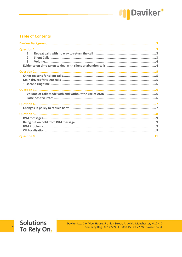

### **Table of Contents**

| 1 <sub>1</sub>   |  |
|------------------|--|
| 2 <sub>1</sub>   |  |
| $\overline{3}$ . |  |
|                  |  |
|                  |  |
|                  |  |
|                  |  |
|                  |  |
|                  |  |
|                  |  |
|                  |  |
|                  |  |
|                  |  |
|                  |  |
|                  |  |
|                  |  |
|                  |  |
|                  |  |
|                  |  |
|                  |  |
|                  |  |



 $\overline{c}$ 

Daviker Ltd, City View House, 5 Union Street, Ardwick, Manchester, M12 4JD Company Reg: 05127224 T: 0800 458 22 22 W: Daviker.co.uk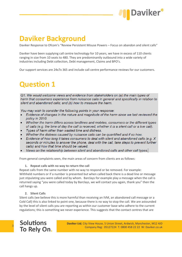

# <span id="page-2-0"></span>**Daviker Background**

Daviker Response to Ofcom's "Review Persistent Misuse Powers – Focus on abandon and silent calls"

Daviker have been supplying call centre technology for 10 years, we have in excess of 110 clients ranging in size from 10 seats to 480. They are predominantly outbound into a wide variety of industries including Debt collection, Debt management, Claims and BPO's.

<span id="page-2-1"></span>Our support services are 24x7x 365 and include call centre performance reviews for our customers.

# **Question 1**

Q1: We would welcome views and evidence from stakeholders on (a) the main types of harm that consumers experience from nuisance calls in general and specifically in relation to silent and abandoned calls; and (b) how to measure the harm.

You may wish to consider the following points in your response:

- Evidence of changes in the nature and magnitude of the harm since we last reviewed the policy in 2010.
- Whether the harm differs across landlines and mobiles, consumers or the different types of calls (e.g. the time of day the call is received, whether it is a silent call or a live call).
- Types of harm other than wasted time and distress.
- Whether the distress caused by nuisance calls can be quantified and if so how.
- Evidence of how long it takes consumers to deal with silent and abandoned calls (e.g. X seconds or minutes to answer the phone, deal with the call, take steps to prevent further calls) and how that time should be valued.
- Views on the relationship between silent and abandoned calls and other call types.

<span id="page-2-2"></span>From general complaints seen, the main areas of concern from clients are as follows:

**1. Repeat calls with no way to return the call**

Repeat calls from the same number with no way to respond or be removed. For example: Withheld numbers or if a number is presented but when called back there is a dead line or message just stipulating you were called and by whom. Barclays for example play a message when the call is returned saying "you were called today by Barclays, we will contact you again, thank you" then the call hangs up.

<span id="page-2-3"></span>**2. Silent Calls**

Silent calls (we believe this is more harmful than receiving an IVM, an abandoned call message or a Cold Call) this is also linked to point one, because there is no way to stop the call. We are astounded by the level of silent calls you are reporting as within our customer base who adhere to the current regulations; this is something we never experience. This suggests that the contact centres that are

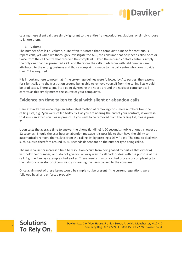

causing these silent calls are simply ignorant to the entire framework of regulations, or simply choose to ignore them.

#### <span id="page-3-0"></span>**3. Volume**

The number of calls i.e. volume, quite often it is noted that a complaint is made for continuous repeat calls, yet when we thoroughly investigate the ACS, the consumer has only been called once or twice from the call centre that received the complaint. Often the accused contact centre is simply the only one that has presented a CLI and therefore the calls made from withheld numbers are attributed to the wrong business and thus a complaint is made to the call centre who does provide their CLI as required.

It is important here to note that if the *current* guidelines were followed by ALL parties, the reasons for silent calls and the frustration around being able to remove yourself from the calling lists would be eradicated. There seems little point tightening the noose around the necks of compliant call centres as this simply misses the source of your complaints.

### <span id="page-3-1"></span>**Evidence on time taken to deal with silent or abandon calls**

Here at Daviker we encourage an automated method of removing consumers numbers from the calling lists, e.g. "you were called today by X as you are nearing the end of your contract, if you wish to discuss an extension please press 1. If you wish to be removed from the calling list, please press  $2"$ 

Upon tests the average time to answer the phone (landline) is 20 seconds, mobile phones is lower at 12 seconds. Should the user hear an abandon message it is possible to then have the ability to automatically remove themselves from the calling list by pressing a DTMF digit. The time to deal with such issues is therefore around 30-40 seconds dependant on the number type being called.

The main cause for increased time to resolution occurs from being called by parties that either a) withhold their number, or b) do not give you an easy way to call back or deal with the purpose of the call. E.g. the Barclays example cited earlier. These results in a convoluted process of complaining to the network operator or Ofcom, vastly increasing the harm caused to the consumer.

Once again most of these issues would be simply not be present if the current regulations were followed by all and enforced properly.

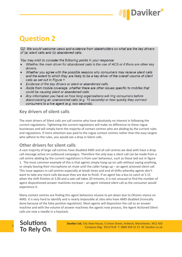

# <span id="page-4-0"></span>**Question 2**

<span id="page-4-1"></span>Q2: We would welcome views and evidence from stakeholders on what are the key drivers of (a) silent calls and (b) abandoned calls.

You may wish to consider the following points in your response:

- Whether the main driver for abandoned calls is the use of ACS or if there are other key drivers.
- Whether you agree with the possible reasons why consumers may receive silent calls and the extent to which they are likely to be a key driver of the overall volume of silent calls as set out in Figure 1.
- Evidence of the key drivers or silent or abandoned calls.
- Aside from mobile coverage, whether there are other issues specific to mobiles that could be causing silent or abandoned calls.
- Any information you have on how long organisations will ring consumers before disconnecting an unanswered calls (e.g. 15 seconds) or how quickly they connect consumers to a live agent (e.g. two seconds).

### **Key drivers of silent calls**

The main drivers of Silent calls are call centres who have absolutely no interest in following the current regulations. Tightening the current regulations will make no difference to these rogue businesses and will simply harm the majority of contact centres who are abiding by the current rules and regulations. If more attention was paid to the rogue contact centres rather than the easy targets who adhere to the rules, you would see a drop in Silent calls.

### <span id="page-4-2"></span>**Other drivers for silent calls**

A vast majority of large call centres have disabled AMD and all call centres we deal with have a drop call message active on outbound campaigns. Therefore the *only* way a silent call can be made from a call centre abiding by the current regulations is from user behaviour, such as those laid out in figure 1. The most common example of this is that agents simply hang-up on calls without saying anything, or simply leaving their microphone on mute until the caller hangs up – an agent actioned silent call. This issue appears in call centres especially at break times and end of shifts whereby agents don't want to take any more calls because they are due to finish. If an agent has a bus to catch at 5.15 when the shift finishes at 5.00 and a sale call takes 20 minutes, it is not unusual to find the number of agent dispositioned answer machines increase – an agent initiated silent call as the consumer would experience it.

Many contact centres are finding this agent behaviour elusive to pin down due to Ofcoms stance on AMD. It is very hard to identify and is nearly impossible at sites who have AMD disabled (ironically done because of the false positive regulation). Most agents will disposition the call as an answer machine and with the volume of answer machines the agents now process, the Agent Actioned Silent calls are now a needle in a haystack.

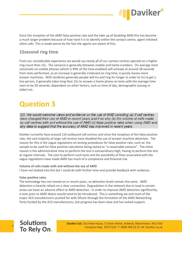

Since the inception of the AMD false positive rate and the take up of disabling AMD this has become a much larger problem because of how hard it is to identify within the contact centre, agent initiated silent calls. This is made worse by the fact the agents are aware of this.

### <span id="page-5-0"></span>**15second ring time**

From our considerable experience we would say nearly all of our contact centres operate on a higher ring count than 15s. The variance is generally between mobile and home numbers. On average most voicemails on mobile phones (which is 99% of the time enabled) will activate at around 18 seconds from tests performed, so an increase is generally irrelevant on ring time, it purely means more answer machines. With landlines generally people will try and ring for longer in order to try to get a live person, it generally takes long than 15s to answer a home phone on tests with the average time seen to be 20 seconds, dependent on other factors, such as time of day, demographic (young vs older) etc.

# <span id="page-5-1"></span>**Question 3**

Q3: We would welcome views and evidence on the use of AMD including (a) if call centres have changed their use of AMD in recent years and if so why (b) the volume of calls made by call centres with and without the use of AMD (c) false positive rates when using AMD and any data to suggest that the accuracy of AMD has improved in recent years.

Daviker currently have around 110 outbound call centres and since the inception of the false positive rate, the vast majority of large call centres have disabled the use of answer machine detection. The reason for this is the vague regulations on testing procedures for false positive rate, such as: the sample to be used for false positive calculation being stated as "a reasonable amount". The other reason is the administrative time to perform the test is extraordinary high, having to perform the test at regular intervals. The cost to perform such tests and the possibility of fines associated with the vague regulations have made AMD too much of a compliance and financial risk.

#### <span id="page-5-2"></span>**Volume of calls made with and without the use of AMD**

I have not looked into this but I could do with further time and provide feedback with evidence.

#### <span id="page-5-3"></span>**False positive rates**

The technology has not moved on in recent years, so detection levels remain the same. AMD detection is heavily reliant on a clear connection. Degradation in the network due to load in certain areas can have an adverse effect to AMD detection. In order to improve AMD detection significantly, a tone prior to AMD detect would need to be introduced. This is something we and most of the major ACS manufacturers pushed for with Ofcom through the formation of the AMD Networking Party funded by the ACS manufacturers, but progress has been slow and has lacked support.

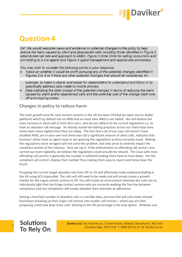

# <span id="page-6-0"></span>**Question 4**

<span id="page-6-1"></span>Q4: We would welcome views and evidence on potential changes to the policy to help reduce the harm caused by silent and abandoned calls including those identified in Figure 2 (abandoned call rate and approach to AMD), Figure 3 (time limits for calling consumers and connecting to a live agent) and Figure 4 (good management and appropriate processes).

You may wish to consider the following points in your response:

Views on whether it would be worth pursuing any of the potential changes identified in Figures 2 to 4 or if there are other potential changes that should be considered, for

example, to make it clearer and easier for stakeholders to understand and follow or to specifically address calls made to mobile phones.

Data indicating the likely impact of the potential changes in terms of reducing the harm caused by silent and/or abandoned calls and the potential cost of the change (both oneoff and ongoing costs).

### **Changes in policy to reduce harm**

The main growth area for new contact systems in the UK has been VICIdial (an open source dialler platform) which by default has no AMD and on most sites AMD is not added. We still believe the main increase in silent calls is from ACS users who do not adhere to the current regulations i.e. to have an abandon call message. As already stated the dialling practices across our client base have never been more vigilant than they are today. The fact that a lot of our own call centre's have disabled AMD, yet in your own test there was still a significant amount of silent calls, indicates that business' either have an agent issue or are ignoring the regulations as they currently stand. Making the regulations more stringent will not solve this problem, but only serve to severely impact the compliant section of the industry. Dare we say it, if the enforcement on offending call centre's was carried out more vigilantly, we believe the regulations could actually be relaxed. The issue with most offending call centres is generally the number is withheld making them hard to track down. Yet the compliant call centre's display their number thus making them easy to report and hence bear the brunt.

Dropping the current target abandon rate from 3% to 1% will effectively make outbound dialling in the UK using ACS impossible. The calls will still need to be made and will simply create a growth market for the rogue contact centres to fill. You will create an environment whereby the rules are so ridiculously tight that the fringe contact centres who are currently walking the fine line between compliance and non compliance will simply abandon their attempts at adherence.

Setting a hard fast number of abandon calls is a terrible idea, and one that will only mean shrewd businesses breaking up their larger call centres into smaller call centres – which you are then proposing could now drop more calls. Sticking to the 3% percentage is the only option. Whether one

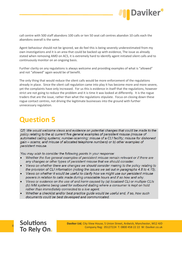

call centre with 500 staff abandons 100 calls or ten 50 seat call centres abandon 10 calls each the abandons overall is the same.

Agent behaviour should not be ignored, we do feel this is being severely underestimated from my own investigations and it is an area that could be backed up with evidence, The issue as already stated when removing AMD on ACS, it is extremely hard to identify agent initiated silent calls and to continuously monitor on an ongoing basis.

Further clarity on any regulations is always welcome and providing examples of what is "allowed" and not "allowed" again would be of benefit.

The only thing that would reduce the silent calls would be more enforcement of the regulations already in place. Since the silent call regulation came into play it has become more and more severe, yet the complaints have only increased. For us this is evidence in itself that the regulations, however strict are not going to reduce the problem and it is time it was looked at differently. It is the rogue traders that are the issue, rather than what the regulations stipulate. Focus on closing down these rogue contact centres, not driving the legitimate businesses into the ground with further unnecessary regulation.

# <span id="page-7-0"></span>**Question 5**

Q5: We would welcome views and evidence on potential changes that could be made to the policy relating to the a) current five general examples of persistent misuse (misuse of automated calling systems; number-scanning; misuse of a CLI facility; misuse for dishonest gain – scams; and misuse of allocated telephone numbers) or b) other examples of persistent misuse.

You may wish to consider the following points in your response:

- Whether the five general examples of persistent misuse remain relevant or if there are any changes or other types of persistent misuse that we should consider.
- Views on whether there are changes we should consider making to the policy relating to the provision of CLI information (noting the issues we set out in paragraphs 4.8 to 4.15).
- Views on whether it would be useful to clarify how we might use our persistent misuse powers in relation to calls made during unsociable hours and if so how and why.
- Views or evidence on the use of and harm caused by (a) localised CLI or multiple CLIs (b) IVM systems being used for outbound dialling where a consumer is kept on hold rather than immediately connected to a live agent.
- Whether a checklist and/or best practice guide would be useful and, if so, how such documents could be best developed and communicated.

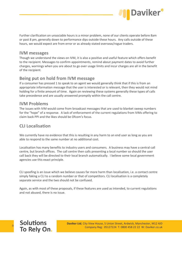

Further clarification on unsociable hours is a minor problem, none of our clients operate before 8am or past 8 pm, generally down to performance dips outside these hours. Any calls outside of these hours, we would expect are from error or as already stated overseas/rogue traders.

### <span id="page-8-0"></span>**IVM messages**

Though we understand the views on IVM, it is also a positive and useful feature which offers benefit to the recipient. Messages to confirm appointments, remind about payment dates to avoid further charges, warnings when you are about to go over usage limits and incur charges are all in the benefit of the recipient.

### <span id="page-8-1"></span>**Being put on hold from IVM message**

If a consumer has pressed 1 to speak to an agent we would generally think that if this is from an appropriate information message that the user is interested or is relevant, then they would not mind holding for a finite amount of time. Again on reviewing these systems generally these types of calls take precedence and are usually answered promptly within the call centre.

### <span id="page-8-2"></span>**IVM Problems**

The issues with IVM would come from broadcast messages that are used to blanket sweep numbers for the "hope" of a response. A lack of enforcement of the current regulations from IVMs offering to claim back PPI and the likes should be Ofcom's focus.

## <span id="page-8-3"></span>**CLI Localisation**

We currently have no evidence that this is resulting in any harm to an end user as long as you are able to respond to the same number at no additional cost.

Localisation has many benefits to industry users and consumers. A business may have a central call centre, but branch offices. The call centre then calls presenting a local number so should the user call back they will be directed to their local branch automatically. I believe some local government agencies use this exact principle.

CLI spoofing is an issue which we believe causes far more harm than localisation, i.e. a contact centre simply faking a CLI to a random number or that of competitors. CLI localisation is a completely separate service and the two should not be confused.

Again, as with most of these proposals, if these features are used as intended, to current regulations and not abused, there is no issue.

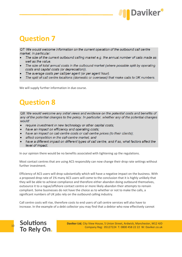

# **Question 7**

Q7: We would welcome information on the current operation of the outbound call centre market, in particular:

- The size of the current outbound calling market e.g. the annual number of calls made as well as the value.
- The size of total annual costs in the outbound market (where possible split by operating costs and capital costs (or depreciation)).
- The average costs per call/per agent (or per agent hour).
- The split of call centre locations (domestic or overseas) that make calls to UK numbers.

We will supply further information in due course.

# **Question 8**

Q8: We would welcome any initial views and evidence on the potential costs and benefits of any of the potential changes to the policy. In particular, whether any of the potential changes would:

- require investment in new technology or other capital costs;
- have an impact on efficiency and operating costs;
- have an impact on call-centre costs or call-centre prices (to their clients);
- affect competition in the call-centre market; and
- have a different impact on different types of call centre, and if so, what factors affect the level of impact.

In our opinion there would be no benefits associated with tightening up the regulations.

Most contact centres that are using ACS responsibly can now change their drop rate settings without further investment.

Efficiency of ACS users will drop substantially which will have a negative impact on the business. With a proposed drop rate of 1% many ACS users will come to the conclusion that it is highly unlikely that they will be able to achieve compliance and therefore either abandon doing outbound themselves, outsource it to a rogue/offshore contact centre or more likely abandon their attempts to remain compliant. Some businesses do not have the choice as to whether or not to make the calls, a significant numbers of UK jobs rely on the outbound calling industry.

Call centre costs will rise, therefore costs to end users of call centre services will also have to increase. In the example of a debt collector you may find that a debtor who now effectively cannot

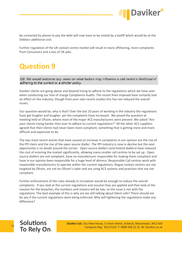

be contacted by phone to pay the debt will now have to be visited by a bailiff which would be at the Debtors additional cost.

<span id="page-10-0"></span>Further regulation of the UK contact centre market will result in more offshoring, more complaints from Consumers and a loss of UK jobs.

# **Question 9**

Q9: We would welcome any views on what factors may influence a call centre's likelihood of adhering to the current or a stricter policy.

Daviker clients are going above and beyond trying to adhere to the regulations which we have seen when conducting our free of charge Compliance Audits. The recent fines imposed have certainly had an effect on the industry, though from your own recent studies this has not reduced the overall issues.

Our question would be, why is that? Over the last 10 years of working in the industry the regulations have got tougher and tougher, yet the complaints have increased. We posed the question at meeting held at Ofcom, where most of the major ACS manufacturers were present. We asked "Are your clients trying harder than ever to adhere to current regulations?" All the other ACS suppliers agreed that their clients had never been more compliant, something that is getting more and more difficult and expensive to do.

The two most recent events that have caused an increase in complaints in our opinion are the rise of the PPI claim and the rise of the open source dialler. The PPI industry is now in decline but the next opportunity is no doubt around the corner. Open source diallers (and hosted diallers) have reduced the cost of entering the market significantly, allowing many smaller call centres to be set up. Open source diallers are not compliant, have no manufacturer responsible for making them compliant and have in our opinion been responsible for a huge level of distress. Responsible Call centres work with responsible manufacturers to operate within the current regulations. Rogue contact centres are not targeted by Ofcom, are not on Ofcom's radar and are using ACS systems and practices that are not compliant.

Further enforcement of the rules already in circulation would be enough to reduce the overall complaints. If you look at the current regulations and assume they are applied and then look at the reasons for the breaches, the numbers and reasons will be low, so the issue is not with the regulations. The best example of this is why are we still talking about Silent calls? There should not be any if the current regulations were being enforced. Why will tightening the regulations make any difference?